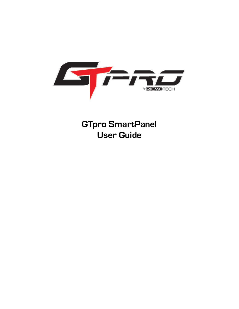

**GTpro SmartPanel User Guide**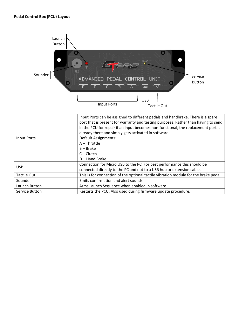

| Input Ports    | Input Ports can be assigned to different pedals and handbrake. There is a spare<br>port that is present for warranty and testing purposes. Rather than having to send<br>in the PCU for repair if an input becomes non-functional, the replacement port is<br>already there and simply gets activated in software.<br>Default Assignments:<br>$A$ – Throttle<br>$B - Brake$<br>$C - Clutch$<br>$D -$ Hand Brake |
|----------------|-----------------------------------------------------------------------------------------------------------------------------------------------------------------------------------------------------------------------------------------------------------------------------------------------------------------------------------------------------------------------------------------------------------------|
| <b>USB</b>     | Connection for Micro USB to the PC. For best performance this should be<br>connected directly to the PC and not to a USB hub or extension cable.                                                                                                                                                                                                                                                                |
| Tactile Out    | This is for connection of the optional tactile vibration module for the brake pedal.                                                                                                                                                                                                                                                                                                                            |
| Sounder        | Emits confirmation and alert sounds                                                                                                                                                                                                                                                                                                                                                                             |
| Launch Button  | Arms Launch Sequence when enabled in software                                                                                                                                                                                                                                                                                                                                                                   |
| Service Button | Restarts the PCU. Also used during firmware update procedure.                                                                                                                                                                                                                                                                                                                                                   |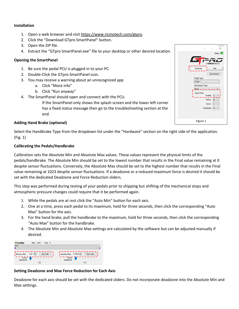## **Installation**

- 1. Open a web browser and visit https://www.ricmotech.com/gtpro.
- 2. Click the "Download GTpro SmartPanel" button.
- 3. Open the ZIP file.
- 4. Extract the "GTpro SmartPanel.exe" file to your desktop or other desired location.

# **Opening the SmartPanel**

- 1. Be sure the pedal PCU is plugged in to your PC.
- 2. Double-Click the GTpro SmartPanel icon.
- 3. You may receive a warning about an unrecognized app
	- a. Click "More info"
	- b. Click "Run anyway"
- 4. The SmartPanel should open and connect with the PCU.

If the SmartPanel only shows the splash screen and the lower left corner has a fixed status message then go to the troubleshooting section at the end.

# **Adding Hand Brake (optional)**

Select the Handbrake Type from the dropdown list under the "Hardware" section on the right side of the application. (Fig. 1)

# **Calibrating the Pedals/Handbrake**

Calibration sets the Absolute Min and Absolute Max values. These values represent the physical limits of the pedals/handbrake. The Absolute Min should be set to the lowest number that results in the Final value remaining at 0 despite sensor fluctuations. Conversely, the Absolute Max should be set to the highest number that results in the Final value remaining at 1023 despite sensor fluctuations. If a deadzone or a reduced maximum force is desired it should be set with the dedicated Deadzone and Force Reduction sliders.

This step was performed during testing of your pedals prior to shipping but shifting of the mechanical stops and atmospheric pressure changes could require that it be performed again.

- 1. While the pedals are at rest click the "Auto Min" button for each axis.
- 2. One at a time, press each pedal to its maximum, hold for three seconds, then click the corresponding "Auto Max" button for the axis.
- 3. For the hand brake, pull the handbrake to the maximum, hold for three seconds, then click the corresponding "Auto Max" button for the handbrake.
- 4. The Absolute Min and Absolute Max settings are calculated by the software but can be adjusted manually if desired.

| Raw: 2247 Final: 0<br><b>Throttle</b>                       |                                                                     |
|-------------------------------------------------------------|---------------------------------------------------------------------|
|                                                             |                                                                     |
| Absolute Min: 2281<br>Auto Min<br>Lower<br>Deadzone<br>1.0% | Absolute Max: 57969<br>Auto Max<br><b>Upper</b><br>Deadzone<br>1.0% |

## **Setting Deadzone and Max Force Reduction for Each Axis**

Deadzone for each axis should be set with the dedicated sliders. Do not incorporate deadzone into the Absolute Min and Max settings.

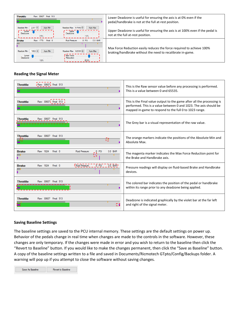| <b>Throttle</b><br>Raw: 30607 Final: 513                                                                                                                                                                 | Lower Deadzone is useful for ensuring the axis is at 0% even if the<br>pedal/handbrake is not at the full at-rest position.                                  |
|----------------------------------------------------------------------------------------------------------------------------------------------------------------------------------------------------------|--------------------------------------------------------------------------------------------------------------------------------------------------------------|
| Absolute Max: 57969<br>$2281 -$<br>Auto Min<br>Absolute Min:<br>Upper<br>Lower<br>Deadzone<br>Deadzone<br>2.5%<br>1.0%                                                                                   | Auto Max<br>Upper Deadzone is useful for ensuring the axis is at 100% even if the pedal is<br>not at the full at-rest position.                              |
| Raw: 1770<br>Final: 0<br>$0$ PSI<br><b>Brake</b><br><b>Fluid Pressure:</b><br>1882 -<br>Absolute Max: 62000<br>Auto Min<br>Absolute Min:<br>Max Force<br>Lower<br>Deadzone<br>Reduction<br>1.0%<br>80.0% | $0.0$ BAR<br>Max Force Reduction easily reduces the force required to achieve 100%<br>Auto Max<br>braking/handbrake without the need to recalibrate in-game. |

# **Reading the Signal Meter**

| <b>Throttle</b> | Raw: 30607 <sub>1</sub> Final: 513                                               | This is the Raw sensor value before any processing is performed.<br>This is a value between 0 and 65535.                                                                                              |
|-----------------|----------------------------------------------------------------------------------|-------------------------------------------------------------------------------------------------------------------------------------------------------------------------------------------------------|
| <b>Throttle</b> | Raw: 30607 <sub>1</sub> Final: 513                                               | This is the Final value output to the game after all the processing is<br>performed. This is a value between 0 and 1023. The axis should be<br>mapped in-game to respond to the full 0 to 1023 range. |
| <b>Throttle</b> | Raw: 30607 Final: 513                                                            | The Grey bar is a visual representation of the raw value.                                                                                                                                             |
| <b>Throttle</b> | Raw: 30607 Final: 513<br>τĽ                                                      | The orange markers indicate the positions of the Absolute Min and<br>Absolute Max.                                                                                                                    |
| <b>Brake</b>    | Raw: 1824 Final: 0<br><b>Fluid Pressure:</b><br>$ \sqrt{}$ PSI<br>$0.0$ BAR<br>ਯ | The magenta marker indicates the Max Force Reduction point for<br>the Brake and Handbrake axis.                                                                                                       |
| <b>Brake</b>    | Fluid Pressure: _ _ _ O_PSI _ _ _ 0.0_BAR_<br>Raw: 1824<br>Final: 0              | Pressure readings will display on fluid-based Brake and Handbrake<br>devices.                                                                                                                         |
| <b>Throttle</b> | Raw: 30607 Final: 513                                                            | The colored bar indicates the position of the pedal or handbrake<br>within its range prior to any deadzone being applied.                                                                             |
| <b>Throttle</b> | Raw: 30607 Final: 513<br>ΩG                                                      | Deadzone is indicated graphically by the violet bar at the far left<br>and right of the signal meter.                                                                                                 |

## **Saving Baseline Settings**

The baseline settings are saved to the PCU internal memory. These settings are the default settings on power up. Behavior of the pedals change in real time when changes are made to the controls in the software. However, these changes are only temporary. If the changes were made in error and you wish to return to the baseline then click the "Revert to Baseline" button. If you would like to make the changes permanent, then click the "Save as Baseline" button. A copy of the baseline settings written to a file and saved in Documents/Ricmotech GTpto/Config/Backups folder. A warning will pop up if you attempt to close the software without saving changes.

Save As Baseline Revert to Baseline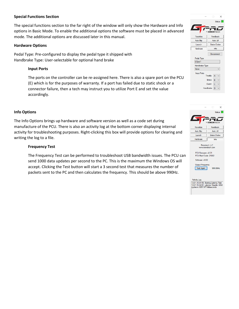## **Special Functions Section**

The special functions section to the far right of the window will only show the Hardware and Info options in Basic Mode. To enable the additional options the software must be placed in advanced mode. The additional options are discussed later in this manual.

#### **Hardware Options**

Pedal Type: Pre-configured to display the pedal type it shipped with Handbrake Type: User-selectable for optional hand brake

### **Input Ports**

The ports on the controller can be re-assigned here. There is also a spare port on the PCU (E) which is for the purposes of warranty. If a port has failed due to static shock or a connector failure, then a tech may instruct you to utilize Port E and set the value accordingly.

#### **Info Options**

The Info Options brings up hardware and software version as well as a code set during manufacture of the PCU. There is also an activity log at the bottom corner displaying internal activity for troubleshooting purposes. Right-clicking this box will provide options for clearing and writing the log to a file.

#### **Frequency Test**

The Frequency Test can be performed to troubleshoot USB bandwidth issues. The PCU can send 1000 data updates per second to the PC. This is the maximum the Windows OS will accept. Clicking the Test button will start a 3 second test that measures the number of packets sent to the PC and then calculates the frequency. This should be above 990Hz.



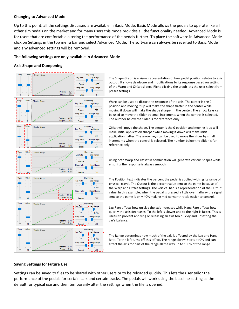## **Changing to Advanced Mode**

Up to this point, all the settings discussed are available in Basic Mode. Basic Mode allows the pedals to operate like all other sim pedals on the market and for many users this mode provides all the functionality needed. Advanced Mode is for users that are comfortable altering the performance of the pedals further. To place the software in Advanced Mode click on Settings in the top menu bar and select Advanced Mode. The software can always be reverted to Basic Mode and any advanced settings will be removed.

# **The following settings are only available in Advanced Mode**

## **Axis Shape and Dampening**



## **Saving Settings for Future Use**

Settings can be saved to files to be shared with other users or to be reloaded quickly. This lets the user tailor the performance of the pedals for certain cars and certain tracks. The pedals will work using the baseline setting as the default for typical use and then temporarily alter the settings when the file is opened.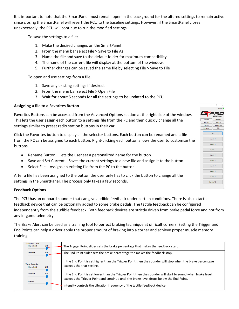It is important to note that the SmartPanel must remain open in the background for the altered settings to remain active since closing the SmartPanel will revert the PCU to the baseline settings. However, if the SmartPanel closes unexpectedly, the PCU will continue to run the modified settings.

To save the settings to a file:

- 1. Make the desired changes on the SmartPanel
- 2. From the menu bar select File > Save to File As
- 3. Name the file and save to the default folder for maximum compatibility
- 4. The name of the current file will display at the bottom of the window.
- 5. Further changes can be saved the same file by selecting File > Save to File

To open and use settings from a file:

- 1. Save any existing settings if desired.
- 2. From the menu bar select File > Open File
- 3. Wait for about 5 seconds for all the settings to be updated to the PCU

## **Assigning a file to a Favorites Button**

Favorites Buttons can be accessed from the Advanced Options section at the right side of the window. This lets the user assign each button to a settings file from the PC and then quickly change all the settings similar to preset radio station buttons in their car.

Click the Favorites button to display all the selector buttons. Each button can be renamed and a file from the PC can be assigned to each button. Right-clicking each button allows the user to customize the buttons.

- Rename Button Lets the user set a personalized name for the button
- Save and Set Current Saves the current settings to a new file and assign it to the button
- Select File Assigns an existing file from the PC to the button

After a file has been assigned to the button the user only has to click the button to change all the settings in the SmartPanel. The process only takes a few seconds.

## **Feedback Options**

The PCU has an onboard sounder that can give audible feedback under certain conditions. There is also a tactile feedback device that can be optionally added to some brake pedals. The tactile feedback can be configured independently from the audible feedback. Both feedback devices are strictly driven from brake pedal force and not from any in-game telemetry.

The Brake Alert can be used as a training tool to perfect braking technique at difficult corners. Setting the Trigger and End Points can help a driver apply the proper amount of braking into a corner and achieve proper muscle memory training.

| Audible Brake Alert<br><b>OFF</b><br><b>Trigger Point</b>        | The Trigger Point slider sets the brake percentage that makes the feedback start.                                                                                                                     |
|------------------------------------------------------------------|-------------------------------------------------------------------------------------------------------------------------------------------------------------------------------------------------------|
| Max<br><b>End Point</b>                                          | The End Point slider sets the brake percentage the makes the feedback stop.                                                                                                                           |
| <b>Tactile Brake Alert</b><br><b>OFF</b><br><b>Trigger Point</b> | If the End Point is set higher than the Trigger Point then the sounder will stop when the brake percentage<br>exceeds the that setting.                                                               |
| and the control of<br><b>End Point</b><br>Max                    | If the End Point is set lower than the Trigger Point then the sounder will start to sound when brake level<br>exceeds the Trigger Point and continue until the brake level drops below the End Point. |
| Intensity                                                        | Intensity controls the vibration frequency of the tactile feedback device.                                                                                                                            |

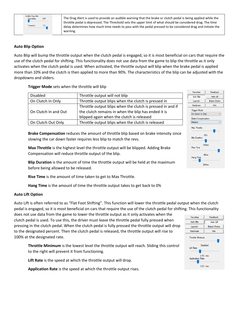

The Drag Alert is used to provide an audible warning that the brake or clutch pedal is being applied while the throttle pedal is depressed. The Threshold sets the upper limit of what should be considered drag. The time delay determines how much time needs to pass with the pedal pressed to be considered drag and initiate the warning.

# **Auto Blip Option**

Auto Blip will bump the throttle output when the clutch pedal is engaged, so it is most beneficial on cars that require the use of the clutch pedal for shifting. This functionality does not use data from the game to blip the throttle as it only activates when the clutch pedal is used. When activated, the throttle output will blip when the brake pedal is applied more than 10% and the clutch is then applied to more than 90%. The characteristics of the blip can be adjusted with the dropdowns and sliders.

# **Trigger Mode** sets when the throttle will blip

| Disabled             | Throttle output will not blip                              |
|----------------------|------------------------------------------------------------|
| On Clutch In Only    | Throttle output blips when the clutch is pressed in        |
|                      | Throttle output blips when the clutch is pressed in and if |
| On Clutch In and Out | the clutch remains in when the blip has ended it is        |
|                      | blipped again when the clutch is released                  |
| On Clutch Out Only   | Throttle output blips when the clutch is released          |

**Brake Compensation** reduces the amount of throttle blip based on brake intensity since slowing the car down faster requires less blip to match the revs.

**Max Throttle** is the highest level the throttle output will be blipped. Adding Brake Compensation will reduce throttle output of the blip.

**Blip Duration** is the amount of time the throttle output will be held at the maximum before being allowed to be released.

**Rise Time** is the amount of time taken to get to Max Throttle.

**Hang Time** is the amount of time the throttle output takes to get back to 0%

## **Auto Lift Option**

Auto Lift is often referred to as "Flat Foot Shifting". This function will lower the throttle pedal output when the clutch pedal is engaged, so it is most beneficial on cars that require the use of the clutch pedal for shifting. This functionality

does not use data from the game to lower the throttle output as it only activates when the clutch pedal is used. To use this, the driver must leave the throttle pedal fully pressed when pressing in the clutch pedal. When the clutch pedal is fully pressed the throttle output will drop to the designated percent. Then the clutch pedal is released, the throttle output will rise to 100% at the designated rate.

**Throttle Minimum** is the lowest level the throttle output will reach. Sliding this control to the right will prevent it from functioning.

**Lift Rate** is the speed at which the throttle output will drop.

**Application Rate** is the speed at which the throttle output rises.



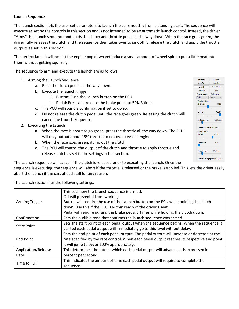# **Launch Sequence**

The launch section lets the user set parameters to launch the car smoothly from a standing start. The sequence will execute as set by the controls in this section and is not intended to be an automatic launch control. Instead, the driver "Arms" the launch sequence and holds the clutch and throttle pedal all the way down. When the race goes green, the driver fully releases the clutch and the sequence then takes over to smoothly release the clutch and apply the throttle outputs as set in this section.

The perfect launch will not let the engine bog down yet induce a small amount of wheel spin to put a little heat into them without getting squirrely.

The sequence to arm and execute the launch are as follows.

- 1. Arming the Launch Sequence
	- a. Push the clutch pedal all the way down.
	- b. Execute the launch trigger
		- i. Button: Push the Launch button on the PCU
		- ii. Pedal: Press and release the brake pedal to 50% 3 times
	- c. The PCU will sound a confirmation if set to do so.
	- d. Do not release the clutch pedal until the race goes green. Releasing the clutch will cancel the Launch Sequence.
- 2. Executing the Launch
	- a. When the race is about to go green, press the throttle all the way down. The PCU will only output about 15% throttle to not over-rev the engine.
	- b. When the race goes green, dump out the clutch
	- c. The PCU will control the output of the clutch and throttle to apply throttle and release clutch as set in the settings in this section.

The Launch sequence will cancel if the clutch is released prior to executing the launch. Once the

sequence is executing, the sequence will abort if the throttle is released or the brake is applied. This lets the driver easily abort the launch if the cars ahead stall for any reason.

The Launch section has the following settings.

|                       | This sets how the Launch sequence is armed.                                                 |
|-----------------------|---------------------------------------------------------------------------------------------|
|                       | Off will prevent it from working.                                                           |
| <b>Arming Trigger</b> | Button will require the use of the Launch button on the PCU while holding the clutch        |
|                       | down. Use this if the PCU is within reach of the driver's seat.                             |
|                       | Pedal will require pulsing the brake pedal 3 times while holding the clutch down.           |
| Confirmation          | Sets the audible tone that confirms the launch sequence was armed.                          |
| <b>Start Point</b>    | Sets the start point of each pedal output when the sequence begins. When the sequence is    |
|                       | started each pedal output will immediately go to this level without delay.                  |
|                       | Sets the end point of each pedal output. The pedal output will increase or decrease at the  |
| <b>End Point</b>      | rate specified by the rate control. When each pedal output reaches its respective end point |
|                       | it will jump to 0% or 100% appropriately.                                                   |
| Application/Release   | This determines the rate at which each pedal output will advance. It is expressed in        |
| Rate                  | percent per second.                                                                         |
| Time to Full          | This indicates the amount of time each pedal output will require to complete the            |
|                       | sequence.                                                                                   |